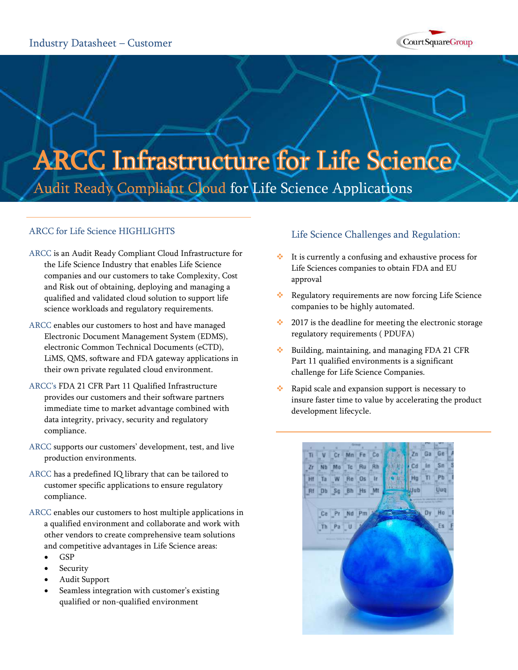

# **ARCC Infrastructure for Life Science** Audit Ready Compliant Cloud for Life Science Applications

# ARCC for Life Science HIGHLIGHTS

- ARCC is an Audit Ready Compliant Cloud Infrastructure for the Life Science Industry that enables Life Science companies and our customers to take Complexity, Cost and Risk out of obtaining, deploying and managing a qualified and validated cloud solution to support life science workloads and regulatory requirements.
- ARCC enables our customers to host and have managed Electronic Document Management System (EDMS), electronic Common Technical Documents (eCTD), LiMS, QMS, software and FDA gateway applications in their own private regulated cloud environment.
- ARCC's FDA 21 CFR Part 11 Qualified Infrastructure provides our customers and their software partners immediate time to market advantage combined with data integrity, privacy, security and regulatory compliance.
- ARCC supports our customers' development, test, and live production environments.
- ARCC has a predefined IQ library that can be tailored to customer specific applications to ensure regulatory compliance.
- ARCC enables our customers to host multiple applications in a qualified environment and collaborate and work with other vendors to create comprehensive team solutions and competitive advantages in Life Science areas:
	- GSP
	- Security
	- Audit Support
	- Seamless integration with customer's existing qualified or non-qualified environment

# Life Science Challenges and Regulation:

- It is currently a confusing and exhaustive process for Life Sciences companies to obtain FDA and EU approval
- \* Regulatory requirements are now forcing Life Science companies to be highly automated.
- $\cdot$  2017 is the deadline for meeting the electronic storage regulatory requirements ( PDUFA)
- $\cdot$  Building, maintaining, and managing FDA 21 CFR Part 11 qualified environments is a significant challenge for Life Science Companies.
- Rapid scale and expansion support is necessary to insure faster time to value by accelerating the product development lifecycle.